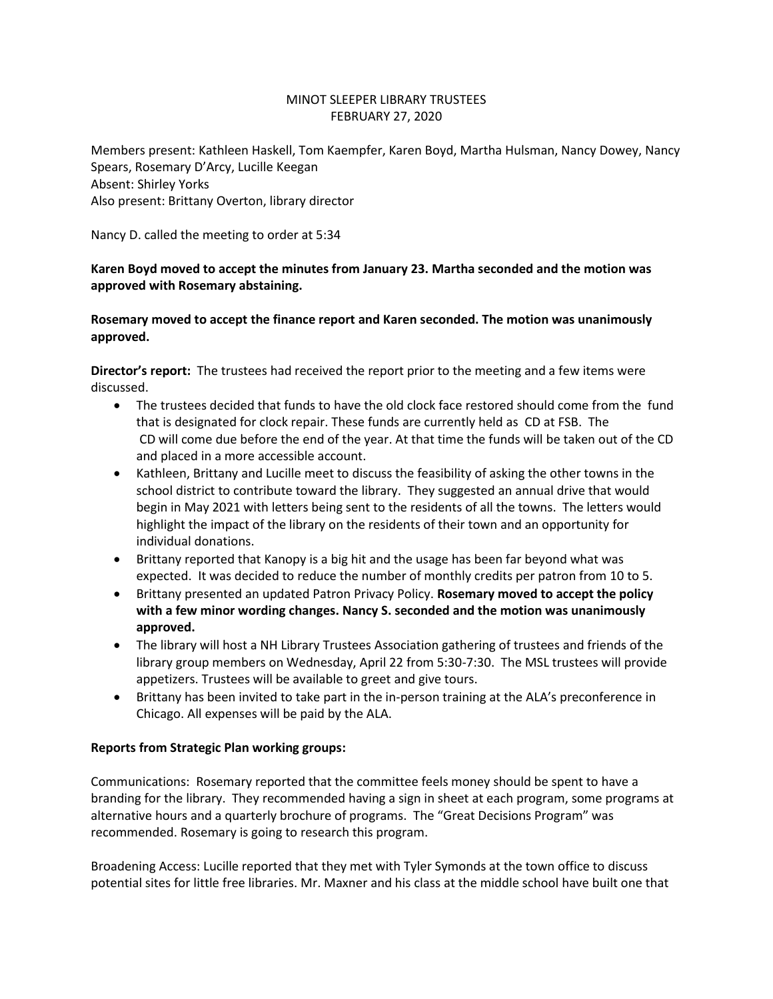## MINOT SLEEPER LIBRARY TRUSTEES FEBRUARY 27, 2020

Members present: Kathleen Haskell, Tom Kaempfer, Karen Boyd, Martha Hulsman, Nancy Dowey, Nancy Spears, Rosemary D'Arcy, Lucille Keegan Absent: Shirley Yorks Also present: Brittany Overton, library director

Nancy D. called the meeting to order at 5:34

## **Karen Boyd moved to accept the minutes from January 23. Martha seconded and the motion was approved with Rosemary abstaining.**

**Rosemary moved to accept the finance report and Karen seconded. The motion was unanimously approved.**

**Director's report:** The trustees had received the report prior to the meeting and a few items were discussed.

- The trustees decided that funds to have the old clock face restored should come from the fund that is designated for clock repair. These funds are currently held as CD at FSB. The CD will come due before the end of the year. At that time the funds will be taken out of the CD and placed in a more accessible account.
- Kathleen, Brittany and Lucille meet to discuss the feasibility of asking the other towns in the school district to contribute toward the library. They suggested an annual drive that would begin in May 2021 with letters being sent to the residents of all the towns. The letters would highlight the impact of the library on the residents of their town and an opportunity for individual donations.
- Brittany reported that Kanopy is a big hit and the usage has been far beyond what was expected. It was decided to reduce the number of monthly credits per patron from 10 to 5.
- Brittany presented an updated Patron Privacy Policy. **Rosemary moved to accept the policy with a few minor wording changes. Nancy S. seconded and the motion was unanimously approved.**
- The library will host a NH Library Trustees Association gathering of trustees and friends of the library group members on Wednesday, April 22 from 5:30-7:30. The MSL trustees will provide appetizers. Trustees will be available to greet and give tours.
- Brittany has been invited to take part in the in-person training at the ALA's preconference in Chicago. All expenses will be paid by the ALA.

## **Reports from Strategic Plan working groups:**

Communications: Rosemary reported that the committee feels money should be spent to have a branding for the library. They recommended having a sign in sheet at each program, some programs at alternative hours and a quarterly brochure of programs. The "Great Decisions Program" was recommended. Rosemary is going to research this program.

Broadening Access: Lucille reported that they met with Tyler Symonds at the town office to discuss potential sites for little free libraries. Mr. Maxner and his class at the middle school have built one that